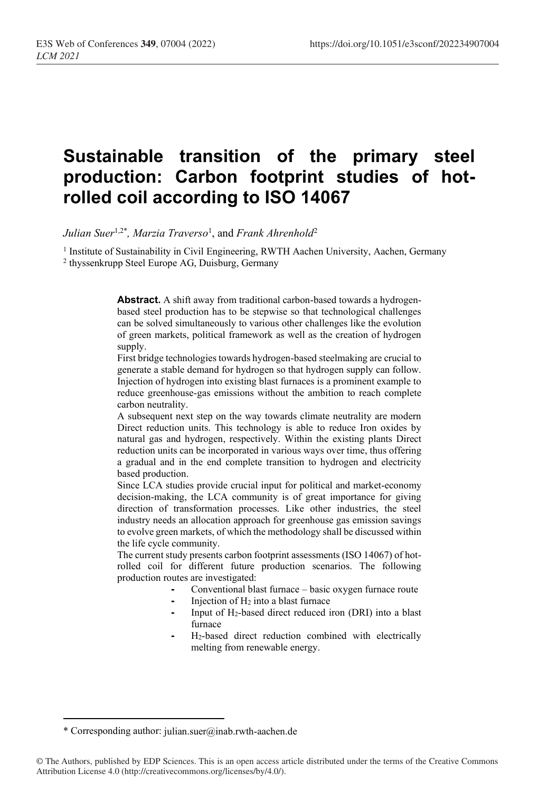# **Sustainable transition of the primary steel production: Carbon footprint studies of hotrolled coil according to ISO 14067**

*Julian Suer*1,2\* *, Marzia Traverso*<sup>1</sup> , and *Frank Ahrenhold*<sup>2</sup>

<sup>1</sup> Institute of Sustainability in Civil Engineering, RWTH Aachen University, Aachen, Germany <sup>2</sup> thyssenkrupp Steel Europe AG, Duisburg, Germany

> **Abstract.** A shift away from traditional carbon-based towards a hydrogenbased steel production has to be stepwise so that technological challenges can be solved simultaneously to various other challenges like the evolution of green markets, political framework as well as the creation of hydrogen supply.

> First bridge technologies towards hydrogen-based steelmaking are crucial to generate a stable demand for hydrogen so that hydrogen supply can follow. Injection of hydrogen into existing blast furnaces is a prominent example to reduce greenhouse-gas emissions without the ambition to reach complete carbon neutrality.

> A subsequent next step on the way towards climate neutrality are modern Direct reduction units. This technology is able to reduce Iron oxides by natural gas and hydrogen, respectively. Within the existing plants Direct reduction units can be incorporated in various ways over time, thus offering a gradual and in the end complete transition to hydrogen and electricity based production.

> Since LCA studies provide crucial input for political and market-economy decision-making, the LCA community is of great importance for giving direction of transformation processes. Like other industries, the steel industry needs an allocation approach for greenhouse gas emission savings to evolve green markets, of which the methodology shall be discussed within the life cycle community.

> The current study presents carbon footprint assessments (ISO 14067) of hotrolled coil for different future production scenarios. The following production routes are investigated:

- **-** Conventional blast furnace basic oxygen furnace route
- **-** Injection of H<sup>2</sup> into a blast furnace
- **-** Input of H2-based direct reduced iron (DRI) into a blast furnace
- **-** H2-based direct reduction combined with electrically melting from renewable energy.

<sup>\*</sup> Corresponding author: julian.suer@inab.rwth-aachen.de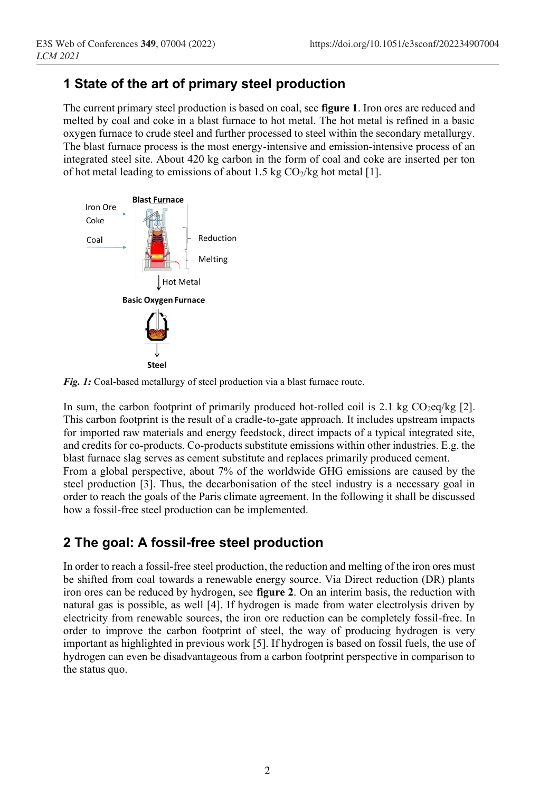## **1 State of the art of primary steel production**

The current primary steel production is based on coal, see **figure 1**. Iron ores are reduced and melted by coal and coke in a blast furnace to hot metal. The hot metal is refined in a basic oxygen furnace to crude steel and further processed to steel within the secondary metallurgy. The blast furnace process is the most energy-intensive and emission-intensive process of an integrated steel site. About 420 kg carbon in the form of coal and coke are inserted per ton of hot metal leading to emissions of about 1.5 kg  $CO<sub>2</sub>/kg$  hot metal [1].



*Fig. 1:* Coal-based metallurgy of steel production via a blast furnace route.

In sum, the carbon footprint of primarily produced hot-rolled coil is 2.1 kg  $CO_2eq/kg$  [2]. This carbon footprint is the result of a cradle-to-gate approach. It includes upstream impacts for imported raw materials and energy feedstock, direct impacts of a typical integrated site, and credits for co-products. Co-products substitute emissions within other industries. E.g. the blast furnace slag serves as cement substitute and replaces primarily produced cement. From a global perspective, about 7% of the worldwide GHG emissions are caused by the steel production [3]. Thus, the decarbonisation of the steel industry is a necessary goal in order to reach the goals of the Paris climate agreement. In the following it shall be discussed how a fossil-free steel production can be implemented.

## **2 The goal: A fossil-free steel production**

In order to reach a fossil-free steel production, the reduction and melting of the iron ores must be shifted from coal towards a renewable energy source. Via Direct reduction (DR) plants iron ores can be reduced by hydrogen, see **figure 2**. On an interim basis, the reduction with natural gas is possible, as well [4]. If hydrogen is made from water electrolysis driven by electricity from renewable sources, the iron ore reduction can be completely fossil-free. In order to improve the carbon footprint of steel, the way of producing hydrogen is very important as highlighted in previous work [5]. If hydrogen is based on fossil fuels, the use of hydrogen can even be disadvantageous from a carbon footprint perspective in comparison to the status quo.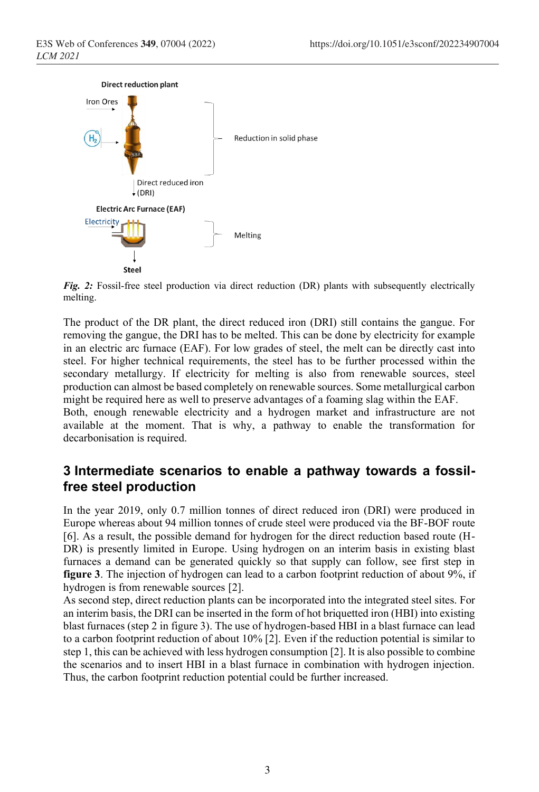

*Fig. 2:* Fossil-free steel production via direct reduction (DR) plants with subsequently electrically melting.

The product of the DR plant, the direct reduced iron (DRI) still contains the gangue. For removing the gangue, the DRI has to be melted. This can be done by electricity for example in an electric arc furnace (EAF). For low grades of steel, the melt can be directly cast into steel. For higher technical requirements, the steel has to be further processed within the secondary metallurgy. If electricity for melting is also from renewable sources, steel production can almost be based completely on renewable sources. Some metallurgical carbon might be required here as well to preserve advantages of a foaming slag within the EAF. Both, enough renewable electricity and a hydrogen market and infrastructure are not

available at the moment. That is why, a pathway to enable the transformation for decarbonisation is required.

### **3 Intermediate scenarios to enable a pathway towards a fossilfree steel production**

In the year 2019, only 0.7 million tonnes of direct reduced iron (DRI) were produced in Europe whereas about 94 million tonnes of crude steel were produced via the BF-BOF route [6]. As a result, the possible demand for hydrogen for the direct reduction based route (H-DR) is presently limited in Europe. Using hydrogen on an interim basis in existing blast furnaces a demand can be generated quickly so that supply can follow, see first step in **figure 3**. The injection of hydrogen can lead to a carbon footprint reduction of about 9%, if hydrogen is from renewable sources [2].

As second step, direct reduction plants can be incorporated into the integrated steel sites. For an interim basis, the DRI can be inserted in the form of hot briquetted iron (HBI) into existing blast furnaces (step 2 in figure 3). The use of hydrogen-based HBI in a blast furnace can lead to a carbon footprint reduction of about 10% [2]. Even if the reduction potential is similar to step 1, this can be achieved with less hydrogen consumption [2]. It is also possible to combine the scenarios and to insert HBI in a blast furnace in combination with hydrogen injection. Thus, the carbon footprint reduction potential could be further increased.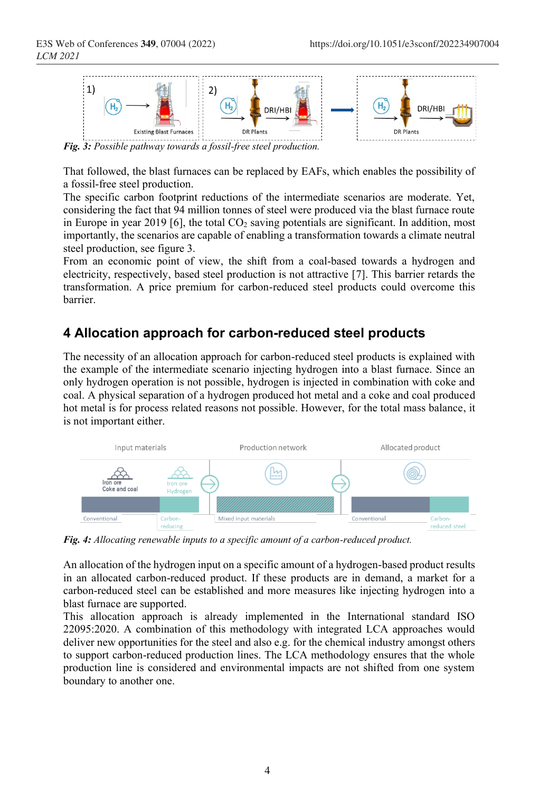

*Fig. 3: Possible pathway towards a fossil-free steel production.*

That followed, the blast furnaces can be replaced by EAFs, which enables the possibility of a fossil-free steel production.

The specific carbon footprint reductions of the intermediate scenarios are moderate. Yet, considering the fact that 94 million tonnes of steel were produced via the blast furnace route in Europe in year 2019 [6], the total  $CO<sub>2</sub>$  saving potentials are significant. In addition, most importantly, the scenarios are capable of enabling a transformation towards a climate neutral steel production, see figure 3.

From an economic point of view, the shift from a coal-based towards a hydrogen and electricity, respectively, based steel production is not attractive [7]. This barrier retards the transformation. A price premium for carbon-reduced steel products could overcome this barrier.

#### **4 Allocation approach for carbon-reduced steel products**

The necessity of an allocation approach for carbon-reduced steel products is explained with the example of the intermediate scenario injecting hydrogen into a blast furnace. Since an only hydrogen operation is not possible, hydrogen is injected in combination with coke and coal. A physical separation of a hydrogen produced hot metal and a coke and coal produced hot metal is for process related reasons not possible. However, for the total mass balance, it is not important either.



*Fig. 4: Allocating renewable inputs to a specific amount of a carbon-reduced product.*

An allocation of the hydrogen input on a specific amount of a hydrogen-based product results in an allocated carbon-reduced product. If these products are in demand, a market for a carbon-reduced steel can be established and more measures like injecting hydrogen into a blast furnace are supported.

This allocation approach is already implemented in the International standard ISO 22095:2020. A combination of this methodology with integrated LCA approaches would deliver new opportunities for the steel and also e.g. for the chemical industry amongst others to support carbon-reduced production lines. The LCA methodology ensures that the whole production line is considered and environmental impacts are not shifted from one system boundary to another one.